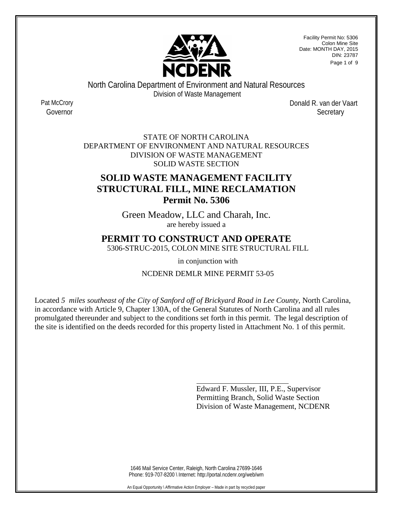

Facility Permit No: 5306 Colon Mine Site Date: MONTH DAY, 2015 DIN: 23787 Page 1 of 9

North Carolina Department of Environment and Natural Resources Division of Waste Management

Pat McCrory Donald R. van der Vaart Governor **Secretary** 

> STATE OF NORTH CAROLINA DEPARTMENT OF ENVIRONMENT AND NATURAL RESOURCES DIVISION OF WASTE MANAGEMENT SOLID WASTE SECTION

# **SOLID WASTE MANAGEMENT FACILITY STRUCTURAL FILL, MINE RECLAMATION Permit No. 5306**

Green Meadow, LLC and Charah, Inc. are hereby issued a

## **PERMIT TO CONSTRUCT AND OPERATE**

5306-STRUC-2015, COLON MINE SITE STRUCTURAL FILL

in conjunction with

NCDENR DEMLR MINE PERMIT 53-05

Located *5 miles southeast of the City of Sanford off of Brickyard Road in Lee County*, North Carolina, in accordance with Article 9, Chapter 130A, of the General Statutes of North Carolina and all rules promulgated thereunder and subject to the conditions set forth in this permit. The legal description of the site is identified on the deeds recorded for this property listed in Attachment No. 1 of this permit.

> Edward F. Mussler, III, P.E., Supervisor Permitting Branch, Solid Waste Section Division of Waste Management, NCDENR

1646 Mail Service Center, Raleigh, North Carolina 27699-1646 Phone: 919-707-8200 \ Internet: http://portal.ncdenr.org/web/wm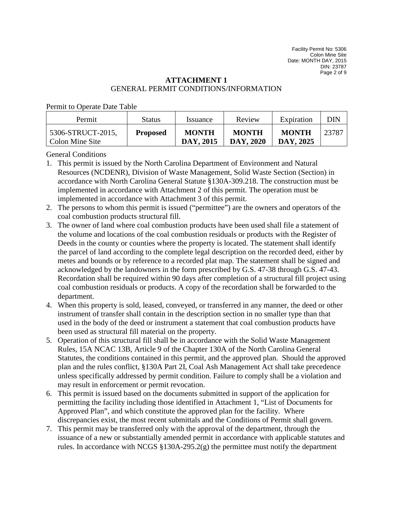Facility Permit No: 5306 Colon Mine Site Date: MONTH DAY, 2015 DIN: 23787 Page 2 of 9

## **ATTACHMENT 1** GENERAL PERMIT CONDITIONS/INFORMATION

Permit to Operate Date Table

| Permit                               | Status          | <i>s</i> suance           | Review                    | Expiration                | DIN   |
|--------------------------------------|-----------------|---------------------------|---------------------------|---------------------------|-------|
| 5306-STRUCT-2015,<br>Colon Mine Site | <b>Proposed</b> | <b>MONTH</b><br>DAY, 2015 | <b>MONTH</b><br>DAY, 2020 | <b>MONTH</b><br>DAY, 2025 | 23787 |

General Conditions

- 1. This permit is issued by the North Carolina Department of Environment and Natural Resources (NCDENR), Division of Waste Management, Solid Waste Section (Section) in accordance with North Carolina General Statute §130A-309.218. The construction must be implemented in accordance with Attachment 2 of this permit. The operation must be implemented in accordance with Attachment 3 of this permit.
- 2. The persons to whom this permit is issued ("permittee") are the owners and operators of the coal combustion products structural fill.
- 3. The owner of land where coal combustion products have been used shall file a statement of the volume and locations of the coal combustion residuals or products with the Register of Deeds in the county or counties where the property is located. The statement shall identify the parcel of land according to the complete legal description on the recorded deed, either by metes and bounds or by reference to a recorded plat map. The statement shall be signed and acknowledged by the landowners in the form prescribed by G.S. 47-38 through G.S. 47-43. Recordation shall be required within 90 days after completion of a structural fill project using coal combustion residuals or products. A copy of the recordation shall be forwarded to the department.
- 4. When this property is sold, leased, conveyed, or transferred in any manner, the deed or other instrument of transfer shall contain in the description section in no smaller type than that used in the body of the deed or instrument a statement that coal combustion products have been used as structural fill material on the property.
- 5. Operation of this structural fill shall be in accordance with the Solid Waste Management Rules, 15A NCAC 13B, Article 9 of the Chapter 130A of the North Carolina General Statutes, the conditions contained in this permit, and the approved plan. Should the approved plan and the rules conflict, §130A Part 2I, Coal Ash Management Act shall take precedence unless specifically addressed by permit condition. Failure to comply shall be a violation and may result in enforcement or permit revocation.
- 6. This permit is issued based on the documents submitted in support of the application for permitting the facility including those identified in Attachment 1, "List of Documents for Approved Plan", and which constitute the approved plan for the facility. Where discrepancies exist, the most recent submittals and the Conditions of Permit shall govern.
- 7. This permit may be transferred only with the approval of the department, through the issuance of a new or substantially amended permit in accordance with applicable statutes and rules. In accordance with NCGS  $\S 130A-295.2(g)$  the permittee must notify the department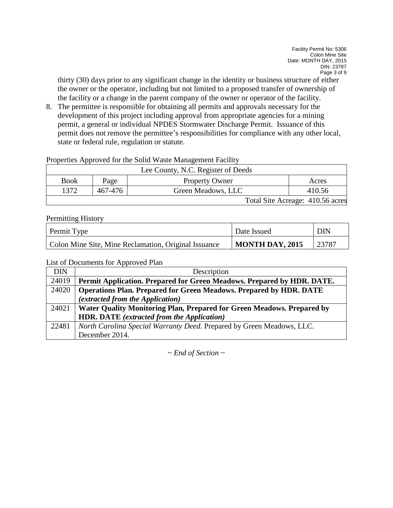thirty (30) days prior to any significant change in the identity or business structure of either the owner or the operator, including but not limited to a proposed transfer of ownership of the facility or a change in the parent company of the owner or operator of the facility.

8. The permittee is responsible for obtaining all permits and approvals necessary for the development of this project including approval from appropriate agencies for a mining permit, a general or individual NPDES Stormwater Discharge Permit. Issuance of this permit does not remove the permittee's responsibilities for compliance with any other local, state or federal rule, regulation or statute.

Properties Approved for the Solid Waste Management Facility

| Lee County, N.C. Register of Deeds |         |                       |                                  |  |
|------------------------------------|---------|-----------------------|----------------------------------|--|
| <b>Book</b>                        | Page    | <b>Property Owner</b> | Acres                            |  |
| 1372                               | 467-476 | Green Meadows, LLC    | 410.56                           |  |
|                                    |         |                       | Total Site Acreage: 410.56 acres |  |

### Permitting History

| <b>Permit Type</b>                                   | Date Issued            | <b>DIN</b> |
|------------------------------------------------------|------------------------|------------|
| Colon Mine Site, Mine Reclamation, Original Issuance | <b>MONTH DAY, 2015</b> | 23787      |

List of Documents for Approved Plan

| <b>DIN</b> | Description                                                               |
|------------|---------------------------------------------------------------------------|
| 24019      | Permit Application. Prepared for Green Meadows. Prepared by HDR. DATE.    |
| 24020      | <b>Operations Plan. Prepared for Green Meadows. Prepared by HDR. DATE</b> |
|            | <i>(extracted from the Application)</i>                                   |
| 24021      | Water Quality Monitoring Plan, Prepared for Green Meadows. Prepared by    |
|            | <b>HDR. DATE</b> (extracted from the Application)                         |
| 22481      | North Carolina Special Warranty Deed. Prepared by Green Meadows, LLC.     |
|            | December 2014                                                             |

*~ End of Section ~*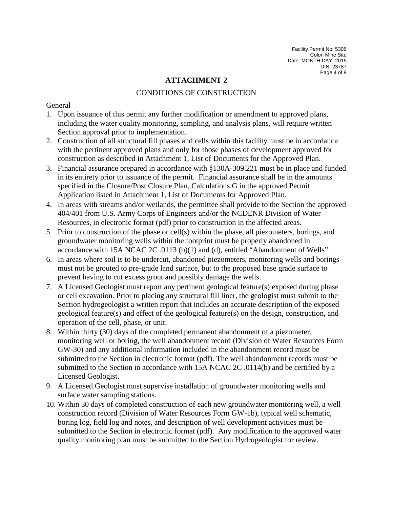## **ATTACHMENT 2**

## CONDITIONS OF CONSTRUCTION

### General

- 1. Upon issuance of this permit any further modification or amendment to approved plans, including the water quality monitoring, sampling, and analysis plans, will require written Section approval prior to implementation.
- 2. Construction of all structural fill phases and cells within this facility must be in accordance with the pertinent approved plans and only for those phases of development approved for construction as described in Attachment 1, List of Documents for the Approved Plan.
- 3. Financial assurance prepared in accordance with §130A-309.221 must be in place and funded in its entirety prior to issuance of the permit. Financial assurance shall be in the amounts specified in the Closure/Post Closure Plan, Calculations G in the approved Permit Application listed in Attachment 1, List of Documents for Approved Plan.
- 4. In areas with streams and/or wetlands, the permittee shall provide to the Section the approved 404/401 from U.S. Army Corps of Engineers and/or the NCDENR Division of Water Resources, in electronic format (pdf) prior to construction in the affected areas.
- 5. Prior to construction of the phase or cell(s) within the phase, all piezometers, borings, and groundwater monitoring wells within the footprint must be properly abandoned in accordance with 15A NCAC 2C .0113 (b)(1) and (d), entitled "Abandonment of Wells".
- 6. In areas where soil is to be undercut, abandoned piezometers, monitoring wells and borings must not be grouted to pre-grade land surface, but to the proposed base grade surface to prevent having to cut excess grout and possibly damage the wells.
- 7. A Licensed Geologist must report any pertinent geological feature(s) exposed during phase or cell excavation. Prior to placing any structural fill liner, the geologist must submit to the Section hydrogeologist a written report that includes an accurate description of the exposed geological feature(s) and effect of the geological feature(s) on the design, construction, and operation of the cell, phase, or unit.
- 8. Within thirty (30) days of the completed permanent abandonment of a piezometer, monitoring well or boring, the well abandonment record (Division of Water Resources Form GW-30) and any additional information included in the abandonment record must be submitted to the Section in electronic format (pdf). The well abandonment records must be submitted to the Section in accordance with 15A NCAC 2C .0114(b) and be certified by a Licensed Geologist.
- 9. A Licensed Geologist must supervise installation of groundwater monitoring wells and surface water sampling stations.
- 10. Within 30 days of completed construction of each new groundwater monitoring well, a well construction record (Division of Water Resources Form GW-1b), typical well schematic, boring log, field log and notes, and description of well development activities must be submitted to the Section in electronic format (pdf). Any modification to the approved water quality monitoring plan must be submitted to the Section Hydrogeologist for review.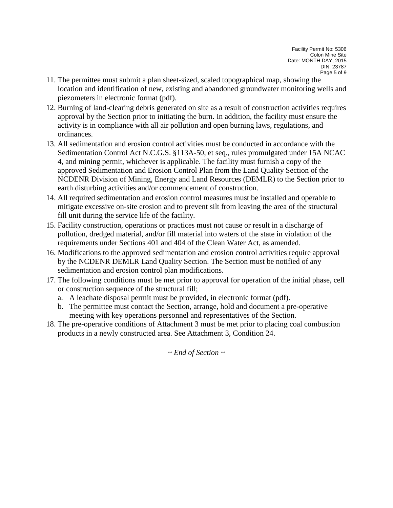Facility Permit No: 5306 Colon Mine Site Date: MONTH DAY, 2015 DIN: 23787 Page 5 of 9

- 11. The permittee must submit a plan sheet-sized, scaled topographical map, showing the location and identification of new, existing and abandoned groundwater monitoring wells and piezometers in electronic format (pdf).
- 12. Burning of land-clearing debris generated on site as a result of construction activities requires approval by the Section prior to initiating the burn. In addition, the facility must ensure the activity is in compliance with all air pollution and open burning laws, regulations, and ordinances.
- 13. All sedimentation and erosion control activities must be conducted in accordance with the Sedimentation Control Act N.C.G.S. §113A-50, et seq., rules promulgated under 15A NCAC 4, and mining permit, whichever is applicable. The facility must furnish a copy of the approved Sedimentation and Erosion Control Plan from the Land Quality Section of the NCDENR Division of Mining, Energy and Land Resources (DEMLR) to the Section prior to earth disturbing activities and/or commencement of construction.
- 14. All required sedimentation and erosion control measures must be installed and operable to mitigate excessive on-site erosion and to prevent silt from leaving the area of the structural fill unit during the service life of the facility.
- 15. Facility construction, operations or practices must not cause or result in a discharge of pollution, dredged material, and/or fill material into waters of the state in violation of the requirements under Sections 401 and 404 of the Clean Water Act, as amended.
- 16. Modifications to the approved sedimentation and erosion control activities require approval by the NCDENR DEMLR Land Quality Section. The Section must be notified of any sedimentation and erosion control plan modifications.
- 17. The following conditions must be met prior to approval for operation of the initial phase, cell or construction sequence of the structural fill;
	- a. A leachate disposal permit must be provided, in electronic format (pdf).
	- b. The permittee must contact the Section, arrange, hold and document a pre-operative meeting with key operations personnel and representatives of the Section.
- 18. The pre-operative conditions of Attachment 3 must be met prior to placing coal combustion products in a newly constructed area. See Attachment 3, Condition 24.

*~ End of Section ~*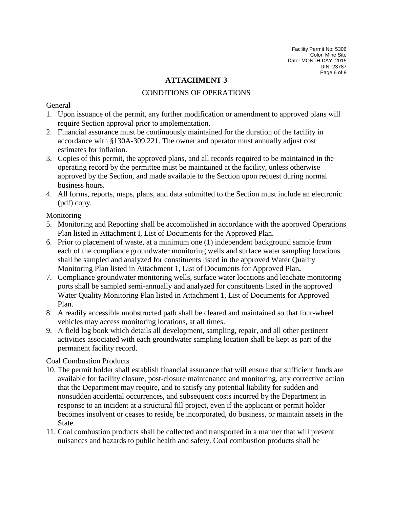Facility Permit No: 5306 Colon Mine Site Date: MONTH DAY, 2015 DIN: 23787 Page 6 of 9

## **ATTACHMENT 3**

## CONDITIONS OF OPERATIONS

#### General

- 1. Upon issuance of the permit, any further modification or amendment to approved plans will require Section approval prior to implementation.
- 2. Financial assurance must be continuously maintained for the duration of the facility in accordance with §130A-309.221. The owner and operator must annually adjust cost estimates for inflation.
- 3. Copies of this permit, the approved plans, and all records required to be maintained in the operating record by the permittee must be maintained at the facility, unless otherwise approved by the Section, and made available to the Section upon request during normal business hours.
- 4. All forms, reports, maps, plans, and data submitted to the Section must include an electronic (pdf) copy.

### Monitoring

- 5. Monitoring and Reporting shall be accomplished in accordance with the approved Operations Plan listed in Attachment I, List of Documents for the Approved Plan.
- 6. Prior to placement of waste, at a minimum one (1) independent background sample from each of the compliance groundwater monitoring wells and surface water sampling locations shall be sampled and analyzed for constituents listed in the approved Water Quality Monitoring Plan listed in Attachment 1, List of Documents for Approved Plan**.**
- 7. Compliance groundwater monitoring wells, surface water locations and leachate monitoring ports shall be sampled semi-annually and analyzed for constituents listed in the approved Water Quality Monitoring Plan listed in Attachment 1, List of Documents for Approved Plan.
- 8. A readily accessible unobstructed path shall be cleared and maintained so that four-wheel vehicles may access monitoring locations, at all times.
- 9. A field log book which details all development, sampling, repair, and all other pertinent activities associated with each groundwater sampling location shall be kept as part of the permanent facility record.

## Coal Combustion Products

- 10. The permit holder shall establish financial assurance that will ensure that sufficient funds are available for facility closure, post-closure maintenance and monitoring, any corrective action that the Department may require, and to satisfy any potential liability for sudden and nonsudden accidental occurrences, and subsequent costs incurred by the Department in response to an incident at a structural fill project, even if the applicant or permit holder becomes insolvent or ceases to reside, be incorporated, do business, or maintain assets in the State.
- 11. Coal combustion products shall be collected and transported in a manner that will prevent nuisances and hazards to public health and safety. Coal combustion products shall be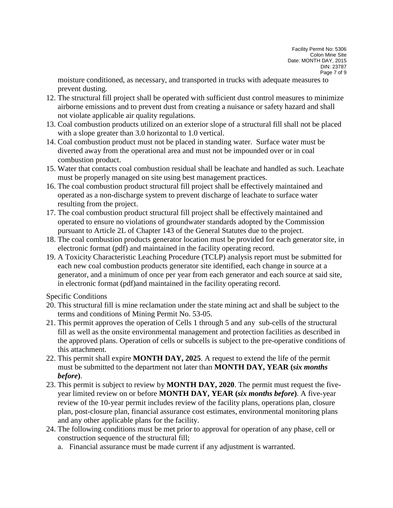moisture conditioned, as necessary, and transported in trucks with adequate measures to prevent dusting.

- 12. The structural fill project shall be operated with sufficient dust control measures to minimize airborne emissions and to prevent dust from creating a nuisance or safety hazard and shall not violate applicable air quality regulations.
- 13. Coal combustion products utilized on an exterior slope of a structural fill shall not be placed with a slope greater than 3.0 horizontal to 1.0 vertical.
- 14. Coal combustion product must not be placed in standing water. Surface water must be diverted away from the operational area and must not be impounded over or in coal combustion product.
- 15. Water that contacts coal combustion residual shall be leachate and handled as such. Leachate must be properly managed on site using best management practices.
- 16. The coal combustion product structural fill project shall be effectively maintained and operated as a non-discharge system to prevent discharge of leachate to surface water resulting from the project.
- 17. The coal combustion product structural fill project shall be effectively maintained and operated to ensure no violations of groundwater standards adopted by the Commission pursuant to Article 2L of Chapter 143 of the General Statutes due to the project.
- 18. The coal combustion products generator location must be provided for each generator site, in electronic format (pdf) and maintained in the facility operating record.
- 19. A Toxicity Characteristic Leaching Procedure (TCLP) analysis report must be submitted for each new coal combustion products generator site identified, each change in source at a generator, and a minimum of once per year from each generator and each source at said site, in electronic format (pdf)and maintained in the facility operating record.

Specific Conditions

- 20. This structural fill is mine reclamation under the state mining act and shall be subject to the terms and conditions of Mining Permit No. 53-05.
- 21. This permit approves the operation of Cells 1 through 5 and any sub-cells of the structural fill as well as the onsite environmental management and protection facilities as described in the approved plans. Operation of cells or subcells is subject to the pre-operative conditions of this attachment.
- 22. This permit shall expire **MONTH DAY, 2025**. A request to extend the life of the permit must be submitted to the department not later than **MONTH DAY, YEAR (***six months before***)**.
- 23. This permit is subject to review by **MONTH DAY, 2020**. The permit must request the fiveyear limited review on or before **MONTH DAY, YEAR (***six months before***)**. A five-year review of the 10-year permit includes review of the facility plans, operations plan, closure plan, post-closure plan, financial assurance cost estimates, environmental monitoring plans and any other applicable plans for the facility.
- 24. The following conditions must be met prior to approval for operation of any phase, cell or construction sequence of the structural fill;
	- a. Financial assurance must be made current if any adjustment is warranted.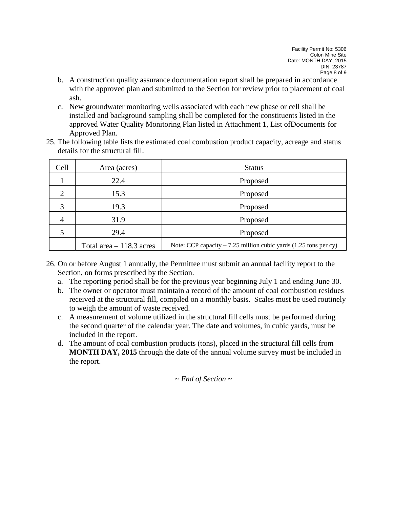Facility Permit No: 5306 Colon Mine Site Date: MONTH DAY, 2015 DIN: 23787 Page 8 of 9

- b. A construction quality assurance documentation report shall be prepared in accordance with the approved plan and submitted to the Section for review prior to placement of coal ash.
- c. New groundwater monitoring wells associated with each new phase or cell shall be installed and background sampling shall be completed for the constituents listed in the approved Water Quality Monitoring Plan listed in Attachment 1, List ofDocuments for Approved Plan.
- 25. The following table lists the estimated coal combustion product capacity, acreage and status details for the structural fill.

| Cell           | Area (acres)              | <b>Status</b>                                                     |
|----------------|---------------------------|-------------------------------------------------------------------|
|                | 22.4                      | Proposed                                                          |
| 2              | 15.3                      | Proposed                                                          |
| 3              | 19.3                      | Proposed                                                          |
| $\overline{4}$ | 31.9                      | Proposed                                                          |
|                | 29.4                      | Proposed                                                          |
|                | Total area $-118.3$ acres | Note: CCP capacity $-7.25$ million cubic yards (1.25 tons per cy) |

- 26. On or before August 1 annually, the Permittee must submit an annual facility report to the Section, on forms prescribed by the Section.
	- a. The reporting period shall be for the previous year beginning July 1 and ending June 30.
	- b. The owner or operator must maintain a record of the amount of coal combustion residues received at the structural fill, compiled on a monthly basis. Scales must be used routinely to weigh the amount of waste received.
	- c. A measurement of volume utilized in the structural fill cells must be performed during the second quarter of the calendar year. The date and volumes, in cubic yards, must be included in the report.
	- d. The amount of coal combustion products (tons), placed in the structural fill cells from **MONTH DAY, 2015** through the date of the annual volume survey must be included in the report.

*~ End of Section ~*